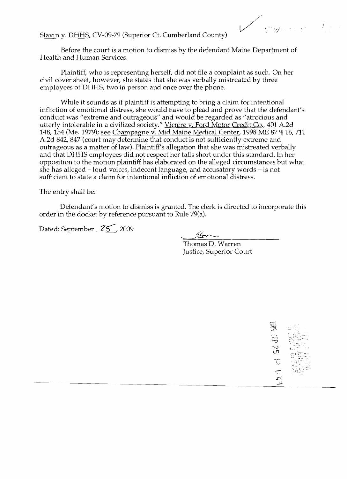$\mathbb{W}^{1\times n\times n}$ 

Slavin v. DHHS, CV-09-79 (Superior Ct. Cumberland County)

Before the court is a motion to dismiss by the defendant Maine Department of Health and Human Services.

Plaintiff, who is representing herself, did not file a complaint as such. On her civil cover sheet, however, she states that she was verbally mistreated by three employees of DHHS, two in person and once over the phone.

While it sounds as if plaintiff is attempting to bring a claim for intentional infliction of emotional distress, she would have to plead and prove that the defendant's conduct was "extreme and outrageous" and would be regarded as "atrocious and utterly intolerable in a civilized society." <u>Vicnire v. Ford Motor Credit Co</u>., 401 A.2d 148, 154 (Me. 1979); see Champagne v. Mid Maine Medical Center, 1998 ME 87 ¶ 16, 711 A.2d 842, 847 (court may determine that conduct is not sufficiently extreme and outrageous as a matter of law). Plaintiff's allegation that she was mistreated verbally and that DHHS employees did not respect her falls short under this standard. **In** her opposition to the motion plaintiff has elaborated on the alleged circumstances but what she has alleged -loud voices, indecent language, and accusatory words - is not sufficient to state a claim for intentional infliction of emotional distress.

The entry shall be:

Defendant's motion to dismiss is granted. The clerk is directed to incorporate this order in the docket by reference pursuant to Rule 79(a).

Dated: September  $\frac{25}{\sqrt{2}}$ , 2009

Thomas D. Warren Justice, Superior Court